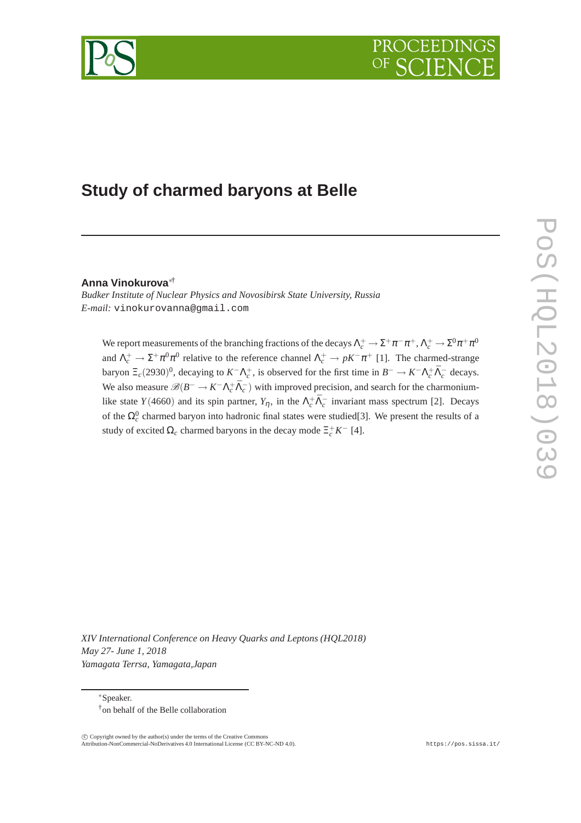



# **Study of charmed baryons at Belle**

### **Anna Vinokurova**∗†

*Budker Institute of Nuclear Physics and Novosibirsk State University, Russia E-mail:* vinokurovanna@gmail.com

We report measurements of the branching fractions of the decays  $\Lambda_c^+\to \Sigma^+\pi^-\pi^+$ ,  $\Lambda_c^+\to \Sigma^0\pi^+\pi^0$ and  $\Lambda_c^+ \to \Sigma^+ \pi^0 \pi^0$  relative to the reference channel  $\Lambda_c^+ \to pK^-\pi^+$  [1]. The charmed-strange baryon  $\Xi_c(2930)^0$ , decaying to  $K^-\Lambda_c^+$ , is observed for the first time in  $B^-\to K^-\Lambda_c^+\bar{\Lambda}_c^-$  decays. We also measure  $\mathscr{B}(B^- \to K^- \Lambda_c^+ \bar{\Lambda}_c^-)$  with improved precision, and search for the charmoniumlike state *Y*(4660) and its spin partner,  $Y_{\eta}$ , in the  $\Lambda_c^+ \bar{\Lambda}_c^-$  invariant mass spectrum [2]. Decays of the  $\Omega_c^0$  charmed baryon into hadronic final states were studied[3]. We present the results of a study of excited  $\Omega_c$  charmed baryons in the decay mode  $\Xi_c^+ K^-$  [4].

*XIV International Conference on Heavy Quarks and Leptons (HQL2018) May 27- June 1, 2018 Yamagata Terrsa, Yamagata,Japan*

<sup>∗</sup>Speaker. †on behalf of the Belle collaboration

 $\overline{c}$  Copyright owned by the author(s) under the terms of the Creative Commons Attribution-NonCommercial-NoDerivatives 4.0 International License (CC BY-NC-ND 4.0). https://pos.sissa.it/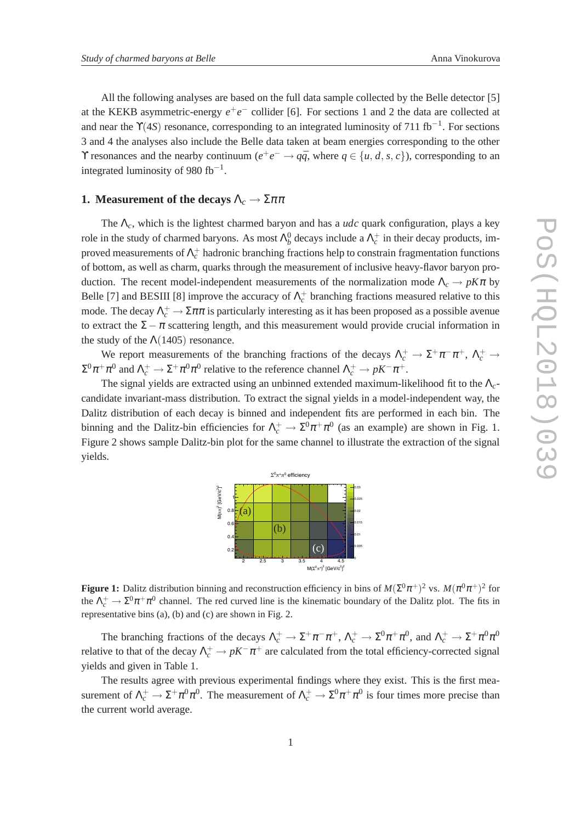All the following analyses are based on the full data sample collected by the Belle detector [5] at the KEKB asymmetric-energy  $e^+e^-$  collider [6]. For sections 1 and 2 the data are collected at and near the Y(4S) resonance, corresponding to an integrated luminosity of 711 fb<sup>-1</sup>. For sections 3 and 4 the analyses also include the Belle data taken at beam energies corresponding to the other Y resonances and the nearby continuum  $(e^+e^- \rightarrow q\bar{q}$ , where  $q \in \{u, d, s, c\}$ ), corresponding to an integrated luminosity of 980 fb<sup>-1</sup>.

#### **1. Measurement of the decays**  $\Lambda_c \to \Sigma \pi \pi$

The Λ*c*, which is the lightest charmed baryon and has a *udc* quark configuration, plays a key role in the study of charmed baryons. As most  $\Lambda_b^0$  decays include a  $\Lambda_c^+$  in their decay products, improved measurements of  $\Lambda_c^+$  hadronic branching fractions help to constrain fragmentation functions of bottom, as well as charm, quarks through the measurement of inclusive heavy-flavor baryon production. The recent model-independent measurements of the normalization mode  $\Lambda_c \to pK\pi$  by Belle [7] and BESIII [8] improve the accuracy of  $\Lambda_c^+$  branching fractions measured relative to this mode. The decay  $\Lambda_c^+ \to \Sigma \pi \pi$  is particularly interesting as it has been proposed as a possible avenue to extract the  $\Sigma - \pi$  scattering length, and this measurement would provide crucial information in the study of the  $\Lambda(1405)$  resonance.

We report measurements of the branching fractions of the decays  $\Lambda_c^+ \to \Sigma^+ \pi^- \pi^+$ ,  $\Lambda_c^+ \to$  $\Sigma^0 \pi^+ \pi^0$  and  $\Lambda_c^+ \to \Sigma^+ \pi^0 \pi^0$  relative to the reference channel  $\Lambda_c^+ \to pK^-\pi^+.$ 

The signal yields are extracted using an unbinned extended maximum-likelihood fit to the Λ*c*candidate invariant-mass distribution. To extract the signal yields in a model-independent way, the Dalitz distribution of each decay is binned and independent fits are performed in each bin. The binning and the Dalitz-bin efficiencies for  $\Lambda_c^+ \to \Sigma^0 \pi^+ \pi^0$  (as an example) are shown in Fig. 1. Figure 2 shows sample Dalitz-bin plot for the same channel to illustrate the extraction of the signal yields.



**Figure 1:** Dalitz distribution binning and reconstruction efficiency in bins of  $M(\Sigma^0 \pi^+)^2$  vs.  $M(\pi^0 \pi^+)^2$  for the  $\Lambda_c^+ \to \Sigma^0 \pi^+ \pi^0$  channel. The red curved line is the kinematic boundary of the Dalitz plot. The fits in representative bins (a), (b) and (c) are shown in Fig. 2.

The branching fractions of the decays  $\Lambda_c^+ \to \Sigma^+ \pi^- \pi^+$ ,  $\Lambda_c^+ \to \Sigma^0 \pi^+ \pi^0$ , and  $\Lambda_c^+ \to \Sigma^+ \pi^0 \pi^0$ relative to that of the decay  $\Lambda_c^+ \to pK^-\pi^+$  are calculated from the total efficiency-corrected signal yields and given in Table 1.

The results agree with previous experimental findings where they exist. This is the first measurement of  $\Lambda_c^+ \to \Sigma^+ \pi^0 \pi^0$ . The measurement of  $\Lambda_c^+ \to \Sigma^0 \pi^+ \pi^0$  is four times more precise than the current world average.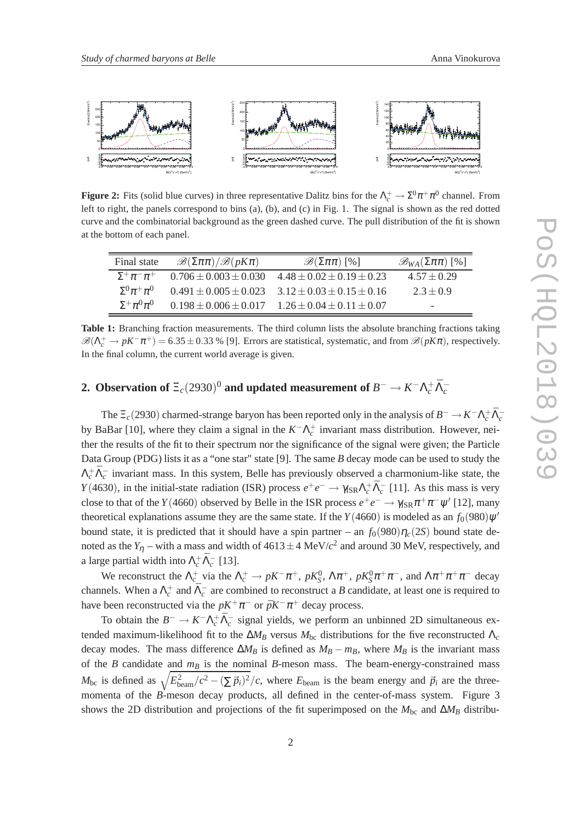

**Figure 2:** Fits (solid blue curves) in three representative Dalitz bins for the  $\Lambda_c^+ \to \Sigma^0 \pi^+ \pi^0$  channel. From left to right, the panels correspond to bins (a), (b), and (c) in Fig. 1. The signal is shown as the red dotted curve and the combinatorial background as the green dashed curve. The pull distribution of the fit is shown at the bottom of each panel.

| Final state            | $\mathscr{B}(\Sigma \pi \pi)/\mathscr{B}(pK\pi)$ | $\mathscr{B}(\Sigma \pi \pi)$ [%]                             | $\mathscr{B}_{WA}(\Sigma \pi \pi)$ [%] |
|------------------------|--------------------------------------------------|---------------------------------------------------------------|----------------------------------------|
| $\Sigma^+\pi^-\pi^+$   | $0.706 + 0.003 + 0.030$                          | $4.48 \pm 0.02 \pm 0.19 \pm 0.23$                             | $4.57 + 0.29$                          |
| $\Sigma^0 \pi^+ \pi^0$ |                                                  | $0.491 \pm 0.005 \pm 0.023$ $3.12 \pm 0.03 \pm 0.15 \pm 0.16$ | $2.3 + 0.9$                            |
| $\Sigma^+\pi^0\pi^0$   |                                                  | $0.198 \pm 0.006 \pm 0.017$ $1.26 \pm 0.04 \pm 0.11 \pm 0.07$ | $\overline{\phantom{0}}$               |

**Table 1:** Branching fraction measurements. The third column lists the absolute branching fractions taking  $\mathscr{B}(\Lambda_c^+ \to pK^-\pi^+) = 6.35 \pm 0.33$  % [9]. Errors are statistical, systematic, and from  $\mathscr{B}(pK\pi)$ , respectively. In the final column, the current world average is given.

## 2. Observation of  $\Xi_c(2930)^0$  and updated measurement of  $B^-\to K^-\Lambda_c^+\bar{\Lambda}_c^-$

The  $\Xi_c(2930)$  charmed-strange baryon has been reported only in the analysis of  $B^- \to K^- \Lambda_c^+ \bar{\Lambda}_c^$ by BaBar [10], where they claim a signal in the  $K^-\Lambda_c^+$  invariant mass distribution. However, neither the results of the fit to their spectrum nor the significance of the signal were given; the Particle Data Group (PDG) lists it as a "one star" state [9]. The same *B* decay mode can be used to study the  $\Lambda_c^+ \bar{\Lambda}_c^-$  invariant mass. In this system, Belle has previously observed a charmonium-like state, the *Y*(4630), in the initial-state radiation (ISR) process  $e^+e^- \to \gamma_{\rm SR} \Lambda_c^+ \bar{\Lambda}_c^-$  [11]. As this mass is very close to that of the *Y*(4660) observed by Belle in the ISR process  $e^+e^- \to \gamma_{\rm ISR} \pi^+\pi^-\psi'$  [12], many theoretical explanations assume they are the same state. If the  $Y(4660)$  is modeled as an  $f_0(980)\psi'$ bound state, it is predicted that it should have a spin partner – an  $f_0(980)\eta_c(25)$  bound state denoted as the  $Y_{\eta}$  – with a mass and width of  $4613 \pm 4$  MeV/ $c^2$  and around 30 MeV, respectively, and a large partial width into  $\Lambda_c^+ \bar{\Lambda}_c^-$  [13].

We reconstruct the  $\Lambda_c^+$  via the  $\Lambda_c^+ \to pK^-\pi^+$ ,  $pK_S^0$ ,  $\Lambda\pi^+$ ,  $pK_S^0\pi^+\pi^-$ , and  $\Lambda\pi^+\pi^+\pi^-$  decay channels. When a  $\Lambda_c^+$  and  $\bar{\Lambda}_c^-$  are combined to reconstruct a *B* candidate, at least one is required to have been reconstructed via the  $pK^+\pi^-$  or  $\bar{p}K^-\pi^+$  decay process.

To obtain the  $B^- \to K^- \Lambda_c^+ \bar{\Lambda}_c^-$  signal yields, we perform an unbinned 2D simultaneous extended maximum-likelihood fit to the  $\Delta M_B$  versus  $M_{bc}$  distributions for the five reconstructed  $\Lambda_c$ decay modes. The mass difference  $\Delta M_B$  is defined as  $M_B - m_B$ , where  $M_B$  is the invariant mass of the *B* candidate and *m<sup>B</sup>* is the nominal *B*-meson mass. The beam-energy-constrained mass  $M_{bc}$  is defined as  $\sqrt{E_{\text{beam}}^2/c^2 - (\sum \vec{p}_i)^2}/c$ , where  $E_{\text{beam}}$  is the beam energy and  $\vec{p}_i$  are the threemomenta of the *B*-meson decay products, all defined in the center-of-mass system. Figure 3 shows the 2D distribution and projections of the fit superimposed on the  $M_{bc}$  and  $\Delta M_B$  distribu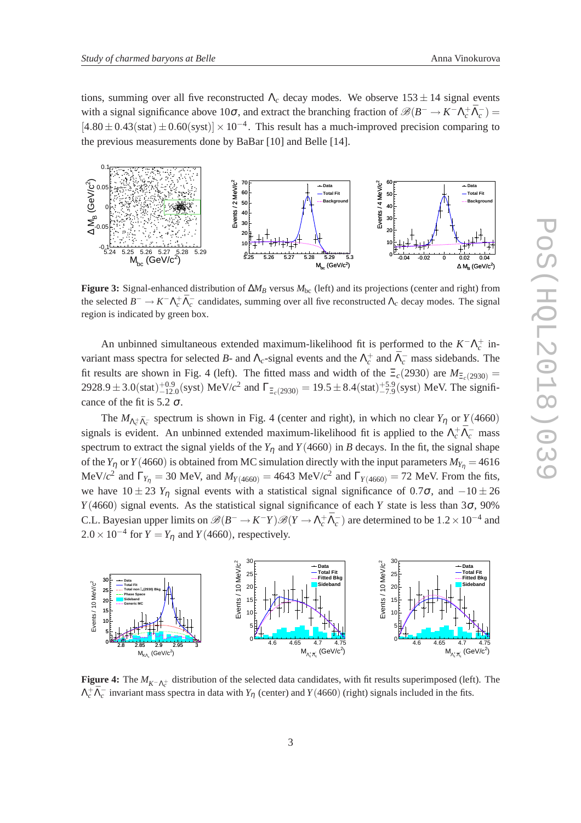tions, summing over all five reconstructed  $\Lambda_c$  decay modes. We observe  $153 \pm 14$  signal events with a signal significance above 10 $\sigma$ , and extract the branching fraction of  $\mathscr{B}(B^- \to K^- \Lambda_c^+ \bar{\Lambda}_c^-)$  $[4.80 \pm 0.43(stat) \pm 0.60(syst)] \times 10^{-4}$ . This result has a much-improved precision comparing to the previous measurements done by BaBar [10] and Belle [14].



**Figure 3:** Signal-enhanced distribution of  $\Delta M_B$  versus  $M_{bc}$  (left) and its projections (center and right) from the selected  $B^- \to K^- \Lambda_c^+ \bar{\Lambda}_c^-$  candidates, summing over all five reconstructed  $\Lambda_c$  decay modes. The signal region is indicated by green box.

An unbinned simultaneous extended maximum-likelihood fit is performed to the  $K^- \Lambda_c^+$  invariant mass spectra for selected *B*- and  $\Lambda_c$ -signal events and the  $\Lambda_c^+$  and  $\bar{\Lambda}_c^-$  mass sidebands. The fit results are shown in Fig. 4 (left). The fitted mass and width of the  $\Xi_c(2930)$  are  $M_{\Xi_c(2930)} =$  $2928.9 \pm 3.0$ (stat)<sup> $+0.9$ </sup><sub>12.0</sub>(syst) MeV/*c*<sup>2</sup> and  $\Gamma_{\Xi_c(2930)} = 19.5 \pm 8.4$ (stat)<sup> $+5.9$ </sup><sub>-7.9</sub>(syst) MeV. The significance of the fit is 5.2  $\sigma$ .

The  $M_{\Lambda_c^+\bar{\Lambda}_c^-}$  spectrum is shown in Fig. 4 (center and right), in which no clear  $Y_\eta$  or  $Y(4660)$ signals is evident. An unbinned extended maximum-likelihood fit is applied to the  $\Lambda_c^+ \bar{\Lambda}_c^-$  mass spectrum to extract the signal yields of the  $Y_n$  and  $Y(4660)$  in *B* decays. In the fit, the signal shape of the *Y*<sub>n</sub> or *Y*(4660) is obtained from MC simulation directly with the input parameters  $M_{Y_n} = 4616$ MeV/ $c^2$  and  $\Gamma_{Y_n} = 30$  MeV, and  $M_{Y(4660)} = 4643$  MeV/ $c^2$  and  $\Gamma_{Y(4660)} = 72$  MeV. From the fits, we have  $10 \pm 23$  *Y*<sub>n</sub> signal events with a statistical signal significance of 0.7 $\sigma$ , and  $-10 \pm 26$  $Y(4660)$  signal events. As the statistical signal significance of each *Y* state is less than 3 $\sigma$ , 90% C.L. Bayesian upper limits on  $\mathscr{B}(B^- \to K^- Y)\mathscr{B}(Y \to \Lambda_c^+ \bar{\Lambda}_c^-)$  are determined to be  $1.2 \times 10^{-4}$  and  $2.0 \times 10^{-4}$  for  $Y = Y_\eta$  and  $Y(4660)$ , respectively.



**Figure 4:** The  $M_{K-\Lambda_c^+}$  distribution of the selected data candidates, with fit results superimposed (left). The  $\Lambda_c^+ \bar{\Lambda}_c^-$  invariant mass spectra in data with  $Y_\eta$  (center) and  $Y(4660)$  (right) signals included in the fits.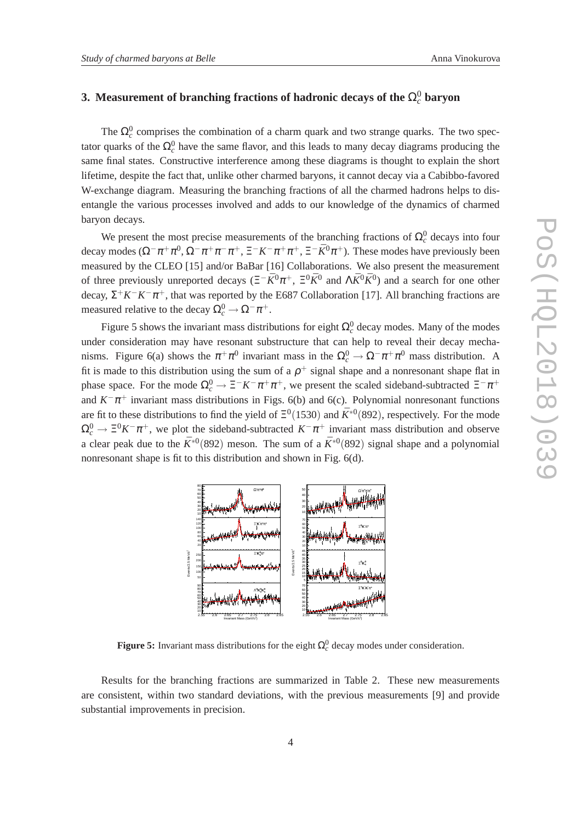### **3.** Measurement of branching fractions of hadronic decays of the  $\Omega_c^0$  baryon

The  $\Omega_c^0$  comprises the combination of a charm quark and two strange quarks. The two spectator quarks of the  $\Omega_c^0$  have the same flavor, and this leads to many decay diagrams producing the same final states. Constructive interference among these diagrams is thought to explain the short lifetime, despite the fact that, unlike other charmed baryons, it cannot decay via a Cabibbo-favored W-exchange diagram. Measuring the branching fractions of all the charmed hadrons helps to disentangle the various processes involved and adds to our knowledge of the dynamics of charmed baryon decays.

We present the most precise measurements of the branching fractions of  $\Omega_c^0$  decays into four decay modes  $(\Omega^- \pi^+ \pi^0, \Omega^- \pi^+ \pi^- \pi^+, \Xi^- K^- \pi^+ \pi^+, \Xi^- \bar{K}^0 \pi^+)$ . These modes have previously been measured by the CLEO [15] and/or BaBar [16] Collaborations. We also present the measurement of three previously unreported decays ( $E^{-}\bar{K}^{0}\pi^{+}$ ,  $E^{0}\bar{K}^{0}$  and  $\Lambda \bar{K}^{0}\bar{K}^{0}$ ) and a search for one other decay,  $\Sigma^+ K^- K^- \pi^+$ , that was reported by the E687 Collaboration [17]. All branching fractions are measured relative to the decay  $\Omega_c^0 \to \Omega^- \pi^+$ .

Figure 5 shows the invariant mass distributions for eight  $\Omega_c^0$  decay modes. Many of the modes under consideration may have resonant substructure that can help to reveal their decay mechanisms. Figure 6(a) shows the  $\pi^+\pi^0$  invariant mass in the  $\Omega_c^0 \to \Omega^-\pi^+\pi^0$  mass distribution. A fit is made to this distribution using the sum of a  $\rho^+$  signal shape and a nonresonant shape flat in phase space. For the mode  $\Omega_c^0 \to \Xi^- K^- \pi^+ \pi^+$ , we present the scaled sideband-subtracted  $\Xi^- \pi^+$ and  $K^-\pi^+$  invariant mass distributions in Figs. 6(b) and 6(c). Polynomial nonresonant functions are fit to these distributions to find the yield of  $\Xi^0(1530)$  and  $\bar{K}^{*0}(892)$ , respectively. For the mode  $\Omega_c^0 \to \Xi^0 K^- \pi^+$ , we plot the sideband-subtracted  $K^- \pi^+$  invariant mass distribution and observe a clear peak due to the  $\bar{K}^{*0}$ (892) meson. The sum of a  $\bar{K}^{*0}$ (892) signal shape and a polynomial nonresonant shape is fit to this distribution and shown in Fig. 6(d).



**Figure 5:** Invariant mass distributions for the eight  $\Omega_c^0$  decay modes under consideration.

Results for the branching fractions are summarized in Table 2. These new measurements are consistent, within two standard deviations, with the previous measurements [9] and provide substantial improvements in precision.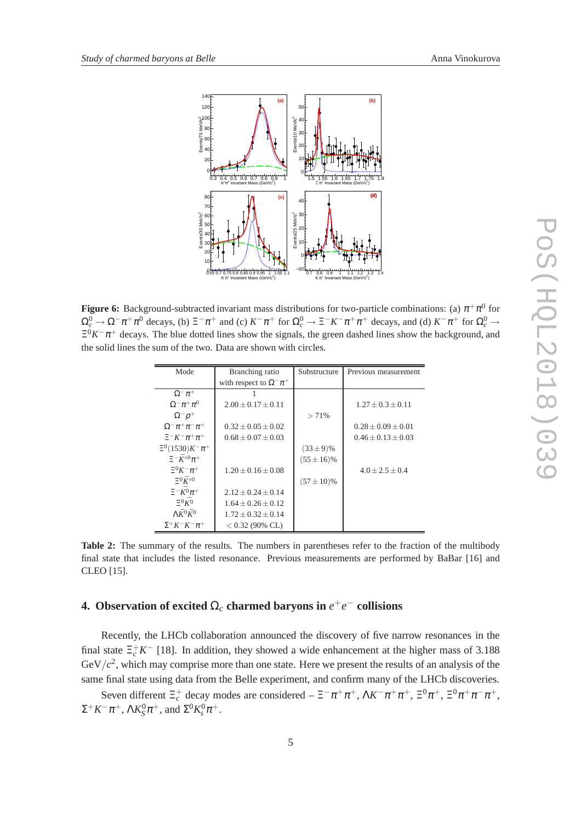

**Figure 6:** Background-subtracted invariant mass distributions for two-particle combinations: (a)  $\pi^+\pi^0$  for  $\Omega_c^0 \to \Omega^- \pi^+ \pi^0$  decays, (b)  $\Xi^- \pi^+$  and (c)  $K^- \pi^+$  for  $\Omega_c^0 \to \Xi^- K^- \pi^+ \pi^+$  decays, and (d)  $K^- \pi^+$  for  $\Omega_c^0 \to$  $\Xi^{0}K^{-}\pi^{+}$  decays. The blue dotted lines show the signals, the green dashed lines show the background, and the solid lines the sum of the two. Data are shown with circles.

| Mode                                 | Branching ratio                  | Substructure    | Previous measurement     |
|--------------------------------------|----------------------------------|-----------------|--------------------------|
|                                      | with respect to $\Omega^- \pi^+$ |                 |                          |
| $\Omega^-\pi^+$                      |                                  |                 |                          |
| $\Omega^-\pi^+\pi^0$                 | $2.00 + 0.17 + 0.11$             |                 | $1.27 + 0.3 + 0.11$      |
| $\Omega^- \rho^+$                    |                                  | $> 71\%$        |                          |
| $\Omega^{-} \pi^{+} \pi^{-} \pi^{+}$ | $0.32 \pm 0.05 \pm 0.02$         |                 | $0.28 \pm 0.09 \pm 0.01$ |
| $E^-K^-\pi^+\pi^+$                   | $0.68 + 0.07 + 0.03$             |                 | $0.46 + 0.13 + 0.03$     |
| $\Xi^0(1530)K^-\pi^+$                |                                  | $(33 \pm 9)\%$  |                          |
| $\Xi^- \bar K^{*0} \pi^+$            |                                  | $(55 \pm 16)\%$ |                          |
| $\Xi^0 K^- \pi^+$                    | $1.20 + 0.16 + 0.08$             |                 | $4.0 + 2.5 + 0.4$        |
| $\Xi^0 \bar{K}^{*0}$                 |                                  | $(57 \pm 10)\%$ |                          |
| $\Xi^- \bar{K^0} \pi^+$              | $2.12 + 0.24 + 0.14$             |                 |                          |
| $\Xi^{0}K^{0}$                       | $1.64 + 0.26 + 0.12$             |                 |                          |
| $\Lambda \bar{K}^0 \bar{K}^0$        | $1.72 + 0.32 + 0.14$             |                 |                          |
| $\Sigma^+ K^- K^- \pi^+$             | $< 0.32$ (90% CL)                |                 |                          |

**Table 2:** The summary of the results. The numbers in parentheses refer to the fraction of the multibody final state that includes the listed resonance. Previous measurements are performed by BaBar [16] and CLEO [15].

### **4.** Observation of excited  $\Omega_c$  charmed baryons in  $e^+e^-$  collisions

Recently, the LHCb collaboration announced the discovery of five narrow resonances in the final state  $\Xi_c^+ K^-$  [18]. In addition, they showed a wide enhancement at the higher mass of 3.188  $GeV/c<sup>2</sup>$ , which may comprise more than one state. Here we present the results of an analysis of the same final state using data from the Belle experiment, and confirm many of the LHCb discoveries.

Seven different  $\Xi_c^+$  decay modes are considered  $-\Xi^- \pi^+ \pi^+$ ,  $\Lambda K^- \pi^+ \pi^+$ ,  $\Xi^0 \pi^+$ ,  $\Xi^0 \pi^+ \pi^- \pi^+$ ,  $\Sigma^+ K^- \pi^+, \, \Lambda K^0_S \pi^+,$  and  $\Sigma^0 K^0_s \pi^+.$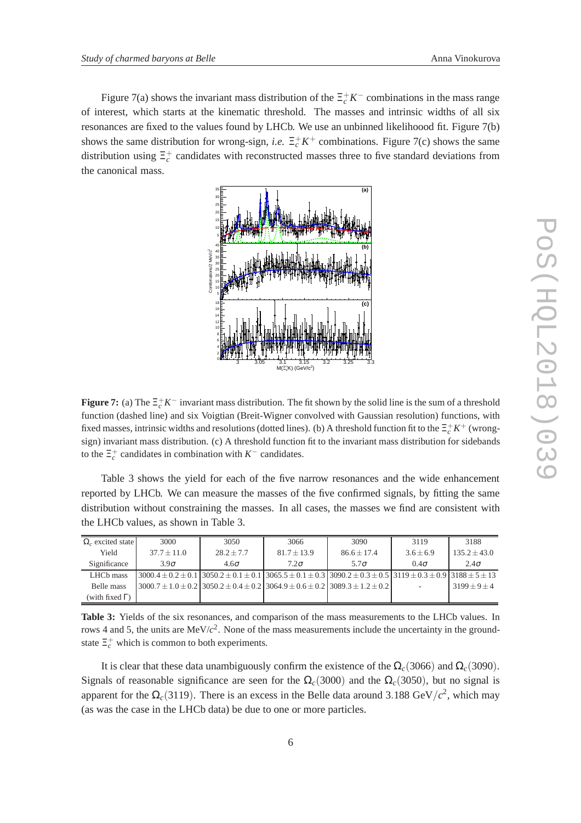Figure 7(a) shows the invariant mass distribution of the  $\Xi_c^+ K^-$  combinations in the mass range of interest, which starts at the kinematic threshold. The masses and intrinsic widths of all six resonances are fixed to the values found by LHCb. We use an unbinned likelihoood fit. Figure 7(b) shows the same distribution for wrong-sign, *i.e.*  $\Xi_c^+ K^+$  combinations. Figure 7(c) shows the same distribution using  $\Xi_c^+$  candidates with reconstructed masses three to five standard deviations from the canonical mass.



**Figure 7:** (a) The  $\Xi_c^+ K^-$  invariant mass distribution. The fit shown by the solid line is the sum of a threshold function (dashed line) and six Voigtian (Breit-Wigner convolved with Gaussian resolution) functions, with fixed masses, intrinsic widths and resolutions (dotted lines). (b) A threshold function fit to the  $\Xi_c^+ K^+$  (wrongsign) invariant mass distribution. (c) A threshold function fit to the invariant mass distribution for sidebands to the  $\Xi_c^+$  candidates in combination with  $K^-$  candidates.

Table 3 shows the yield for each of the five narrow resonances and the wide enhancement reported by LHCb. We can measure the masses of the five confirmed signals, by fitting the same distribution without constraining the masses. In all cases, the masses we find are consistent with the LHCb values, as shown in Table 3.

| $\Omega_c$ excited state | 3000          | 3050         | 3066            | 3090                                                                                                                                           | 3119          | 3188           |
|--------------------------|---------------|--------------|-----------------|------------------------------------------------------------------------------------------------------------------------------------------------|---------------|----------------|
| Yield                    | $37.7 + 11.0$ | $28.2 + 7.7$ | $81.7 \pm 13.9$ | $86.6 + 17.4$                                                                                                                                  | $3.6 \pm 6.9$ | $135.2 + 43.0$ |
| Significance             | $3.9\sigma$   | $4.6\sigma$  | $7.2\sigma$     | $5.7\sigma$                                                                                                                                    | $0.4\sigma$   | $2.4\sigma$    |
| LHCb mass                |               |              |                 | $3000.4 \pm 0.2 \pm 0.1$ $3050.2 \pm 0.1 \pm 0.1$ $3065.5 \pm 0.1 \pm 0.3$ $3090.2 \pm 0.3 \pm 0.5$ $3119 \pm 0.3 \pm 0.9$ $3188 \pm 5 \pm 13$ |               |                |
| Belle mass               |               |              |                 | $3000.7 \pm 1.0 \pm 0.2$ $3050.2 \pm 0.4 \pm 0.2$ $3064.9 \pm 0.6 \pm 0.2$ $3089.3 \pm 1.2 \pm 0.2$                                            |               | $3199 + 9 + 4$ |
| (with fixed $\Gamma$ )   |               |              |                 |                                                                                                                                                |               |                |

**Table 3:** Yields of the six resonances, and comparison of the mass measurements to the LHCb values. In rows 4 and 5, the units are MeV/ $c^2$ . None of the mass measurements include the uncertainty in the groundstate  $\Xi_c^+$  which is common to both experiments.

It is clear that these data unambiguously confirm the existence of the  $\Omega_c(3066)$  and  $\Omega_c(3090)$ . Signals of reasonable significance are seen for the  $\Omega_c(3000)$  and the  $\Omega_c(3050)$ , but no signal is apparent for the  $\Omega_c(3119)$ . There is an excess in the Belle data around 3.188 GeV/ $c^2$ , which may (as was the case in the LHCb data) be due to one or more particles.